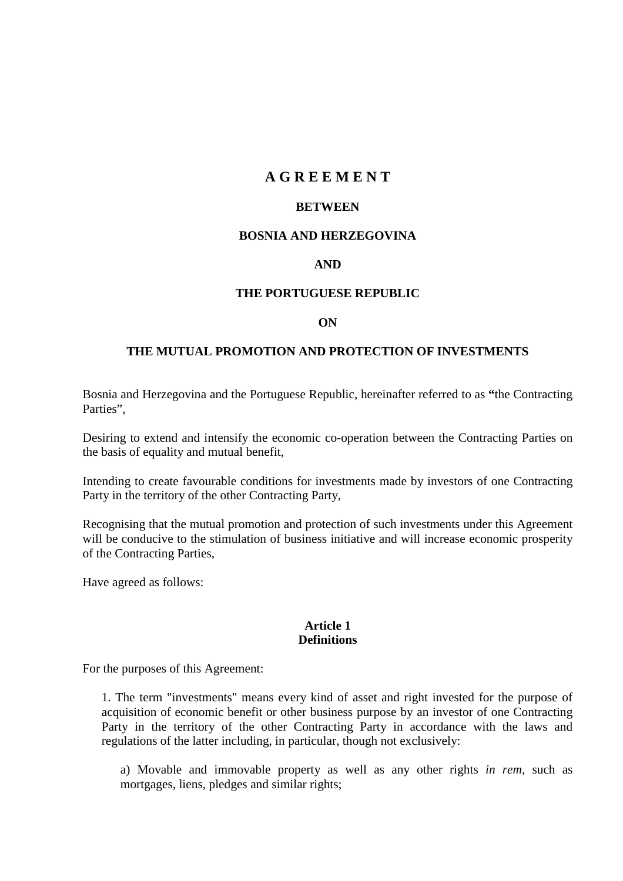# **A G R E E M E N T**

#### **BETWEEN**

### **BOSNIA AND HERZEGOVINA**

## **AND**

### **THE PORTUGUESE REPUBLIC**

#### **ON**

## **THE MUTUAL PROMOTION AND PROTECTION OF INVESTMENTS**

Bosnia and Herzegovina and the Portuguese Republic, hereinafter referred to as **"**the Contracting Parties".

Desiring to extend and intensify the economic co-operation between the Contracting Parties on the basis of equality and mutual benefit,

Intending to create favourable conditions for investments made by investors of one Contracting Party in the territory of the other Contracting Party,

Recognising that the mutual promotion and protection of such investments under this Agreement will be conducive to the stimulation of business initiative and will increase economic prosperity of the Contracting Parties,

Have agreed as follows:

#### **Article 1 Definitions**

For the purposes of this Agreement:

1. The term "investments" means every kind of asset and right invested for the purpose of acquisition of economic benefit or other business purpose by an investor of one Contracting Party in the territory of the other Contracting Party in accordance with the laws and regulations of the latter including, in particular, though not exclusively:

a) Movable and immovable property as well as any other rights *in rem,* such as mortgages, liens, pledges and similar rights;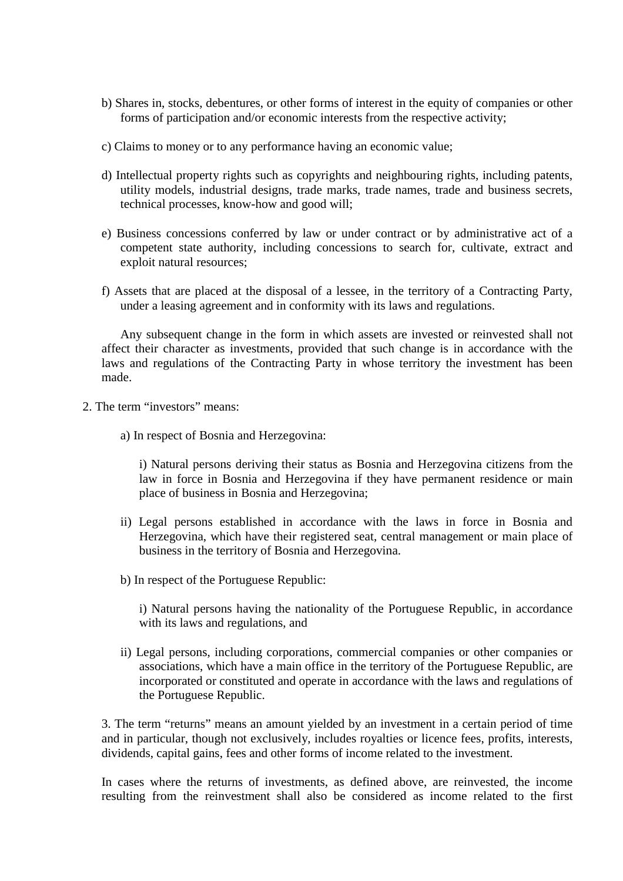- b) Shares in, stocks, debentures, or other forms of interest in the equity of companies or other forms of participation and/or economic interests from the respective activity;
- c) Claims to money or to any performance having an economic value;
- d) Intellectual property rights such as copyrights and neighbouring rights, including patents, utility models, industrial designs, trade marks, trade names, trade and business secrets, technical processes, know-how and good will;
- e) Business concessions conferred by law or under contract or by administrative act of a competent state authority, including concessions to search for, cultivate, extract and exploit natural resources;
- f) Assets that are placed at the disposal of a lessee, in the territory of a Contracting Party, under a leasing agreement and in conformity with its laws and regulations.

Any subsequent change in the form in which assets are invested or reinvested shall not affect their character as investments, provided that such change is in accordance with the laws and regulations of the Contracting Party in whose territory the investment has been made.

- 2. The term "investors" means:
	- a) In respect of Bosnia and Herzegovina:

i) Natural persons deriving their status as Bosnia and Herzegovina citizens from the law in force in Bosnia and Herzegovina if they have permanent residence or main place of business in Bosnia and Herzegovina;

- ii) Legal persons established in accordance with the laws in force in Bosnia and Herzegovina, which have their registered seat, central management or main place of business in the territory of Bosnia and Herzegovina.
- b) In respect of the Portuguese Republic:

i) Natural persons having the nationality of the Portuguese Republic, in accordance with its laws and regulations, and

ii) Legal persons, including corporations, commercial companies or other companies or associations, which have a main office in the territory of the Portuguese Republic, are incorporated or constituted and operate in accordance with the laws and regulations of the Portuguese Republic.

3. The term "returns" means an amount yielded by an investment in a certain period of time and in particular, though not exclusively, includes royalties or licence fees, profits, interests, dividends, capital gains, fees and other forms of income related to the investment.

In cases where the returns of investments, as defined above, are reinvested, the income resulting from the reinvestment shall also be considered as income related to the first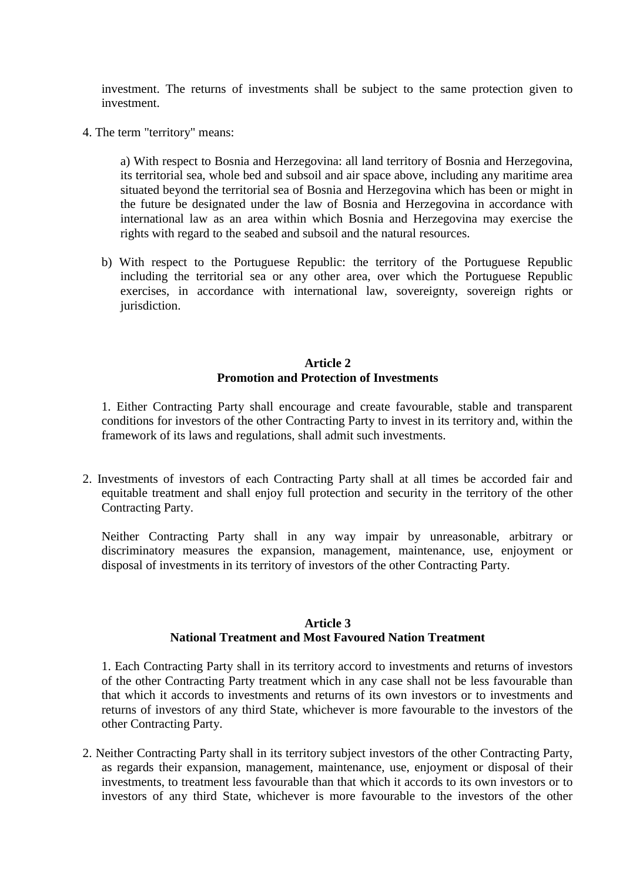investment. The returns of investments shall be subject to the same protection given to investment.

4. The term "territory" means:

a) With respect to Bosnia and Herzegovina: all land territory of Bosnia and Herzegovina, its territorial sea, whole bed and subsoil and air space above, including any maritime area situated beyond the territorial sea of Bosnia and Herzegovina which has been or might in the future be designated under the law of Bosnia and Herzegovina in accordance with international law as an area within which Bosnia and Herzegovina may exercise the rights with regard to the seabed and subsoil and the natural resources.

b) With respect to the Portuguese Republic: the territory of the Portuguese Republic including the territorial sea or any other area, over which the Portuguese Republic exercises, in accordance with international law, sovereignty, sovereign rights or jurisdiction.

## **Article 2 Promotion and Protection of Investments**

1. Either Contracting Party shall encourage and create favourable, stable and transparent conditions for investors of the other Contracting Party to invest in its territory and, within the framework of its laws and regulations, shall admit such investments.

2. Investments of investors of each Contracting Party shall at all times be accorded fair and equitable treatment and shall enjoy full protection and security in the territory of the other Contracting Party.

Neither Contracting Party shall in any way impair by unreasonable, arbitrary or discriminatory measures the expansion, management, maintenance, use, enjoyment or disposal of investments in its territory of investors of the other Contracting Party.

## **Article 3 National Treatment and Most Favoured Nation Treatment**

1. Each Contracting Party shall in its territory accord to investments and returns of investors of the other Contracting Party treatment which in any case shall not be less favourable than that which it accords to investments and returns of its own investors or to investments and returns of investors of any third State, whichever is more favourable to the investors of the other Contracting Party.

2. Neither Contracting Party shall in its territory subject investors of the other Contracting Party, as regards their expansion, management, maintenance, use, enjoyment or disposal of their investments, to treatment less favourable than that which it accords to its own investors or to investors of any third State, whichever is more favourable to the investors of the other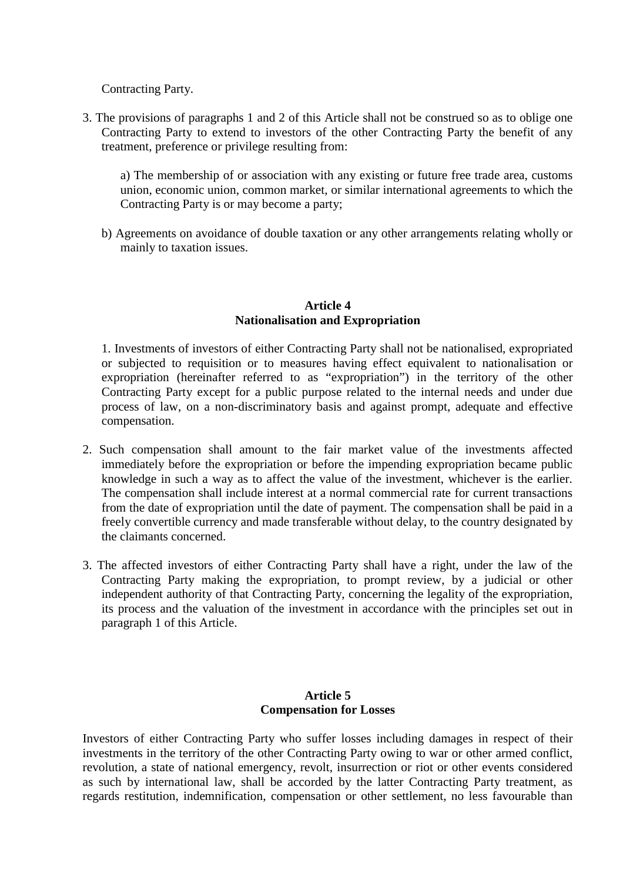Contracting Party.

3. The provisions of paragraphs 1 and 2 of this Article shall not be construed so as to oblige one Contracting Party to extend to investors of the other Contracting Party the benefit of any treatment, preference or privilege resulting from:

a) The membership of or association with any existing or future free trade area, customs union, economic union, common market, or similar international agreements to which the Contracting Party is or may become a party;

b) Agreements on avoidance of double taxation or any other arrangements relating wholly or mainly to taxation issues.

## **Article 4 Nationalisation and Expropriation**

1. Investments of investors of either Contracting Party shall not be nationalised, expropriated or subjected to requisition or to measures having effect equivalent to nationalisation or expropriation (hereinafter referred to as "expropriation") in the territory of the other Contracting Party except for a public purpose related to the internal needs and under due process of law, on a non-discriminatory basis and against prompt, adequate and effective compensation.

- 2. Such compensation shall amount to the fair market value of the investments affected immediately before the expropriation or before the impending expropriation became public knowledge in such a way as to affect the value of the investment, whichever is the earlier. The compensation shall include interest at a normal commercial rate for current transactions from the date of expropriation until the date of payment. The compensation shall be paid in a freely convertible currency and made transferable without delay, to the country designated by the claimants concerned.
- 3. The affected investors of either Contracting Party shall have a right, under the law of the Contracting Party making the expropriation, to prompt review, by a judicial or other independent authority of that Contracting Party, concerning the legality of the expropriation, its process and the valuation of the investment in accordance with the principles set out in paragraph 1 of this Article.

## **Article 5 Compensation for Losses**

Investors of either Contracting Party who suffer losses including damages in respect of their investments in the territory of the other Contracting Party owing to war or other armed conflict, revolution, a state of national emergency, revolt, insurrection or riot or other events considered as such by international law, shall be accorded by the latter Contracting Party treatment, as regards restitution, indemnification, compensation or other settlement, no less favourable than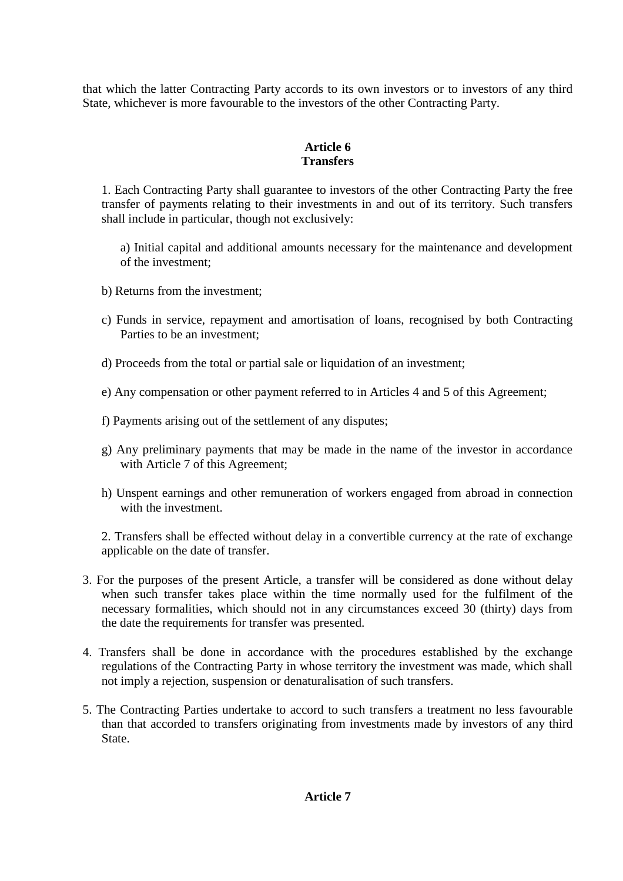that which the latter Contracting Party accords to its own investors or to investors of any third State, whichever is more favourable to the investors of the other Contracting Party.

## **Article 6 Transfers**

1. Each Contracting Party shall guarantee to investors of the other Contracting Party the free transfer of payments relating to their investments in and out of its territory. Such transfers shall include in particular, though not exclusively:

a) Initial capital and additional amounts necessary for the maintenance and development of the investment;

- b) Returns from the investment;
- c) Funds in service, repayment and amortisation of loans, recognised by both Contracting Parties to be an investment;
- d) Proceeds from the total or partial sale or liquidation of an investment;
- e) Any compensation or other payment referred to in Articles 4 and 5 of this Agreement;
- f) Payments arising out of the settlement of any disputes;
- g) Any preliminary payments that may be made in the name of the investor in accordance with Article 7 of this Agreement;
- h) Unspent earnings and other remuneration of workers engaged from abroad in connection with the investment.

2. Transfers shall be effected without delay in a convertible currency at the rate of exchange applicable on the date of transfer.

- 3. For the purposes of the present Article, a transfer will be considered as done without delay when such transfer takes place within the time normally used for the fulfilment of the necessary formalities, which should not in any circumstances exceed 30 (thirty) days from the date the requirements for transfer was presented.
- 4. Transfers shall be done in accordance with the procedures established by the exchange regulations of the Contracting Party in whose territory the investment was made, which shall not imply a rejection, suspension or denaturalisation of such transfers.
- 5. The Contracting Parties undertake to accord to such transfers a treatment no less favourable than that accorded to transfers originating from investments made by investors of any third State.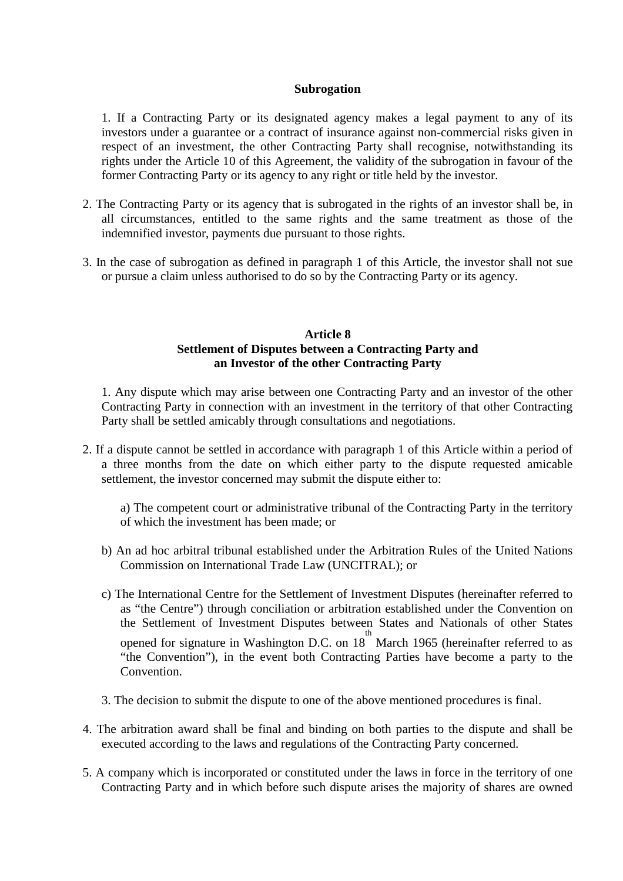### **Subrogation**

1. If a Contracting Party or its designated agency makes a legal payment to any of its investors under a guarantee or a contract of insurance against non-commercial risks given in respect of an investment, the other Contracting Party shall recognise, notwithstanding its rights under the Article 10 of this Agreement, the validity of the subrogation in favour of the former Contracting Party or its agency to any right or title held by the investor.

- 2. The Contracting Party or its agency that is subrogated in the rights of an investor shall be, in all circumstances, entitled to the same rights and the same treatment as those of the indemnified investor, payments due pursuant to those rights.
- 3. In the case of subrogation as defined in paragraph 1 of this Article, the investor shall not sue or pursue a claim unless authorised to do so by the Contracting Party or its agency.

## **Article 8 Settlement of Disputes between a Contracting Party and an Investor of the other Contracting Party**

1. Any dispute which may arise between one Contracting Party and an investor of the other Contracting Party in connection with an investment in the territory of that other Contracting Party shall be settled amicably through consultations and negotiations.

2. If a dispute cannot be settled in accordance with paragraph 1 of this Article within a period of a three months from the date on which either party to the dispute requested amicable settlement, the investor concerned may submit the dispute either to:

a) The competent court or administrative tribunal of the Contracting Party in the territory of which the investment has been made; or

- b) An ad hoc arbitral tribunal established under the Arbitration Rules of the United Nations Commission on International Trade Law (UNCITRAL); or
- c) The International Centre for the Settlement of Investment Disputes (hereinafter referred to as "the Centre") through conciliation or arbitration established under the Convention on the Settlement of Investment Disputes between States and Nationals of other States opened for signature in Washington D.C. on  $18<sup>th</sup>$  March 1965 (hereinafter referred to as "the Convention"), in the event both Contracting Parties have become a party to the **Convention**
- 3. The decision to submit the dispute to one of the above mentioned procedures is final.
- 4. The arbitration award shall be final and binding on both parties to the dispute and shall be executed according to the laws and regulations of the Contracting Party concerned.
- 5. A company which is incorporated or constituted under the laws in force in the territory of one Contracting Party and in which before such dispute arises the majority of shares are owned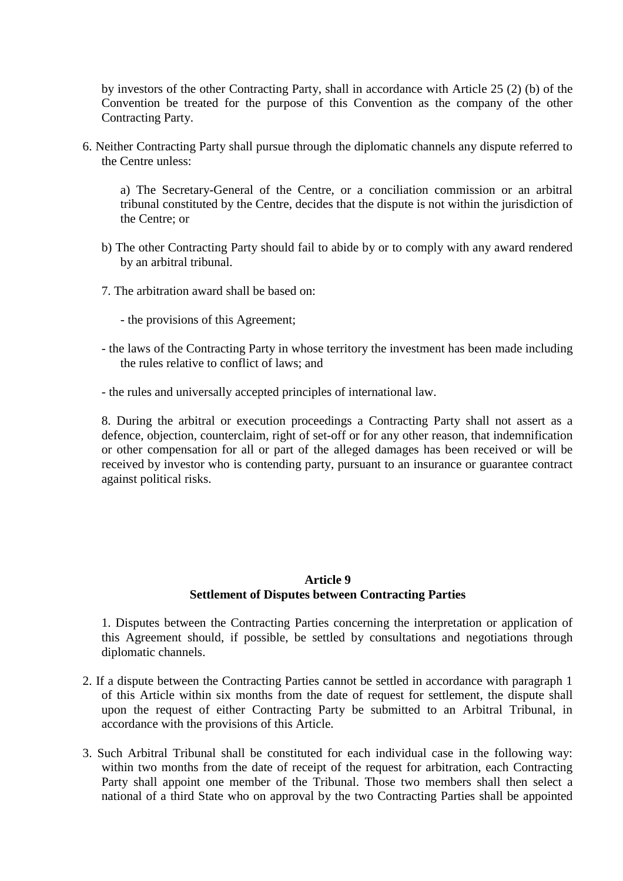by investors of the other Contracting Party, shall in accordance with Article 25 (2) (b) of the Convention be treated for the purpose of this Convention as the company of the other Contracting Party.

6. Neither Contracting Party shall pursue through the diplomatic channels any dispute referred to the Centre unless:

a) The Secretary-General of the Centre, or a conciliation commission or an arbitral tribunal constituted by the Centre, decides that the dispute is not within the jurisdiction of the Centre; or

- b) The other Contracting Party should fail to abide by or to comply with any award rendered by an arbitral tribunal.
- 7. The arbitration award shall be based on:
	- the provisions of this Agreement;
- the laws of the Contracting Party in whose territory the investment has been made including the rules relative to conflict of laws; and
- the rules and universally accepted principles of international law.

8. During the arbitral or execution proceedings a Contracting Party shall not assert as a defence, objection, counterclaim, right of set-off or for any other reason, that indemnification or other compensation for all or part of the alleged damages has been received or will be received by investor who is contending party, pursuant to an insurance or guarantee contract against political risks.

## **Article 9 Settlement of Disputes between Contracting Parties**

1. Disputes between the Contracting Parties concerning the interpretation or application of this Agreement should, if possible, be settled by consultations and negotiations through diplomatic channels.

- 2. If a dispute between the Contracting Parties cannot be settled in accordance with paragraph 1 of this Article within six months from the date of request for settlement, the dispute shall upon the request of either Contracting Party be submitted to an Arbitral Tribunal, in accordance with the provisions of this Article.
- 3. Such Arbitral Tribunal shall be constituted for each individual case in the following way: within two months from the date of receipt of the request for arbitration, each Contracting Party shall appoint one member of the Tribunal. Those two members shall then select a national of a third State who on approval by the two Contracting Parties shall be appointed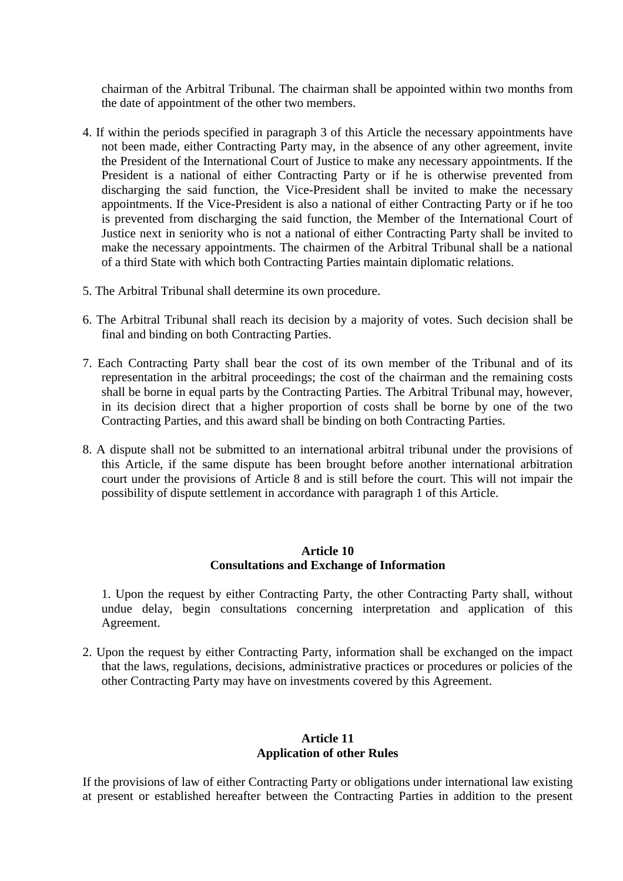chairman of the Arbitral Tribunal. The chairman shall be appointed within two months from the date of appointment of the other two members.

- 4. If within the periods specified in paragraph 3 of this Article the necessary appointments have not been made, either Contracting Party may, in the absence of any other agreement, invite the President of the International Court of Justice to make any necessary appointments. If the President is a national of either Contracting Party or if he is otherwise prevented from discharging the said function, the Vice-President shall be invited to make the necessary appointments. If the Vice-President is also a national of either Contracting Party or if he too is prevented from discharging the said function, the Member of the International Court of Justice next in seniority who is not a national of either Contracting Party shall be invited to make the necessary appointments. The chairmen of the Arbitral Tribunal shall be a national of a third State with which both Contracting Parties maintain diplomatic relations.
- 5. The Arbitral Tribunal shall determine its own procedure.
- 6. The Arbitral Tribunal shall reach its decision by a majority of votes. Such decision shall be final and binding on both Contracting Parties.
- 7. Each Contracting Party shall bear the cost of its own member of the Tribunal and of its representation in the arbitral proceedings; the cost of the chairman and the remaining costs shall be borne in equal parts by the Contracting Parties. The Arbitral Tribunal may, however, in its decision direct that a higher proportion of costs shall be borne by one of the two Contracting Parties, and this award shall be binding on both Contracting Parties.
- 8. A dispute shall not be submitted to an international arbitral tribunal under the provisions of this Article, if the same dispute has been brought before another international arbitration court under the provisions of Article 8 and is still before the court. This will not impair the possibility of dispute settlement in accordance with paragraph 1 of this Article.

## **Article 10 Consultations and Exchange of Information**

1. Upon the request by either Contracting Party, the other Contracting Party shall, without undue delay, begin consultations concerning interpretation and application of this Agreement.

2. Upon the request by either Contracting Party, information shall be exchanged on the impact that the laws, regulations, decisions, administrative practices or procedures or policies of the other Contracting Party may have on investments covered by this Agreement.

## **Article 11 Application of other Rules**

If the provisions of law of either Contracting Party or obligations under international law existing at present or established hereafter between the Contracting Parties in addition to the present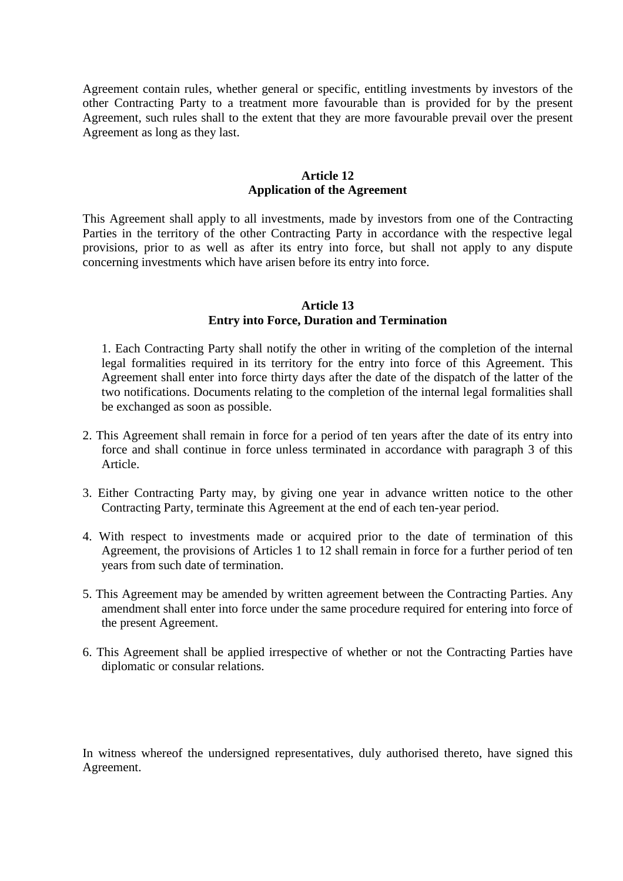Agreement contain rules, whether general or specific, entitling investments by investors of the other Contracting Party to a treatment more favourable than is provided for by the present Agreement, such rules shall to the extent that they are more favourable prevail over the present Agreement as long as they last.

## **Article 12 Application of the Agreement**

This Agreement shall apply to all investments, made by investors from one of the Contracting Parties in the territory of the other Contracting Party in accordance with the respective legal provisions, prior to as well as after its entry into force, but shall not apply to any dispute concerning investments which have arisen before its entry into force.

#### **Article 13 Entry into Force, Duration and Termination**

1. Each Contracting Party shall notify the other in writing of the completion of the internal legal formalities required in its territory for the entry into force of this Agreement. This Agreement shall enter into force thirty days after the date of the dispatch of the latter of the two notifications. Documents relating to the completion of the internal legal formalities shall be exchanged as soon as possible.

- 2. This Agreement shall remain in force for a period of ten years after the date of its entry into force and shall continue in force unless terminated in accordance with paragraph 3 of this Article.
- 3. Either Contracting Party may, by giving one year in advance written notice to the other Contracting Party, terminate this Agreement at the end of each ten-year period.
- 4. With respect to investments made or acquired prior to the date of termination of this Agreement, the provisions of Articles 1 to 12 shall remain in force for a further period of ten years from such date of termination.
- 5. This Agreement may be amended by written agreement between the Contracting Parties. Any amendment shall enter into force under the same procedure required for entering into force of the present Agreement.
- 6. This Agreement shall be applied irrespective of whether or not the Contracting Parties have diplomatic or consular relations.

In witness whereof the undersigned representatives, duly authorised thereto, have signed this Agreement.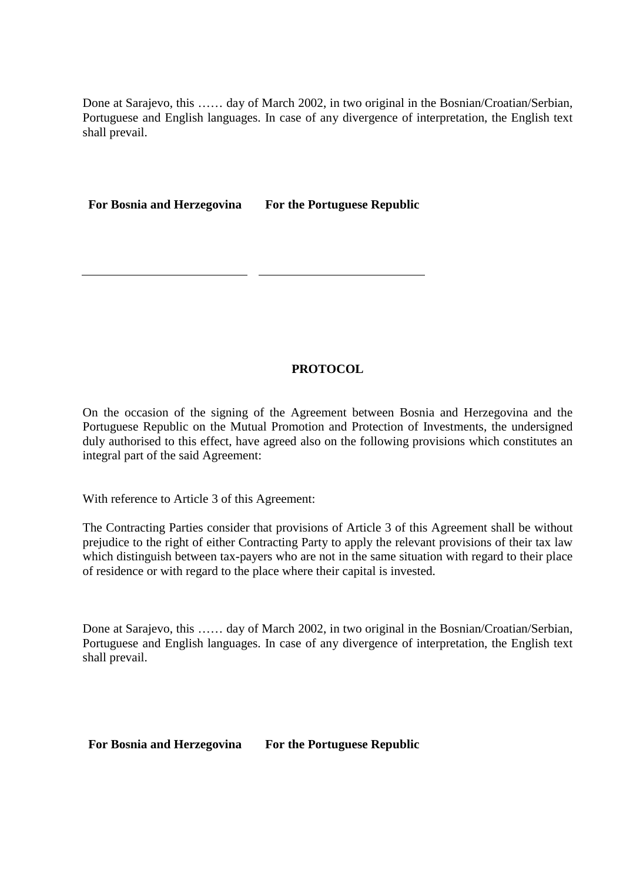Done at Sarajevo, this …… day of March 2002, in two original in the Bosnian/Croatian/Serbian, Portuguese and English languages. In case of any divergence of interpretation, the English text shall prevail.

**For Bosnia and Herzegovina For the Portuguese Republic** 

# **PROTOCOL**

On the occasion of the signing of the Agreement between Bosnia and Herzegovina and the Portuguese Republic on the Mutual Promotion and Protection of Investments, the undersigned duly authorised to this effect, have agreed also on the following provisions which constitutes an integral part of the said Agreement:

With reference to Article 3 of this Agreement:

The Contracting Parties consider that provisions of Article 3 of this Agreement shall be without prejudice to the right of either Contracting Party to apply the relevant provisions of their tax law which distinguish between tax-payers who are not in the same situation with regard to their place of residence or with regard to the place where their capital is invested.

Done at Sarajevo, this …… day of March 2002, in two original in the Bosnian/Croatian/Serbian, Portuguese and English languages. In case of any divergence of interpretation, the English text shall prevail.

**For Bosnia and Herzegovina For the Portuguese Republic**